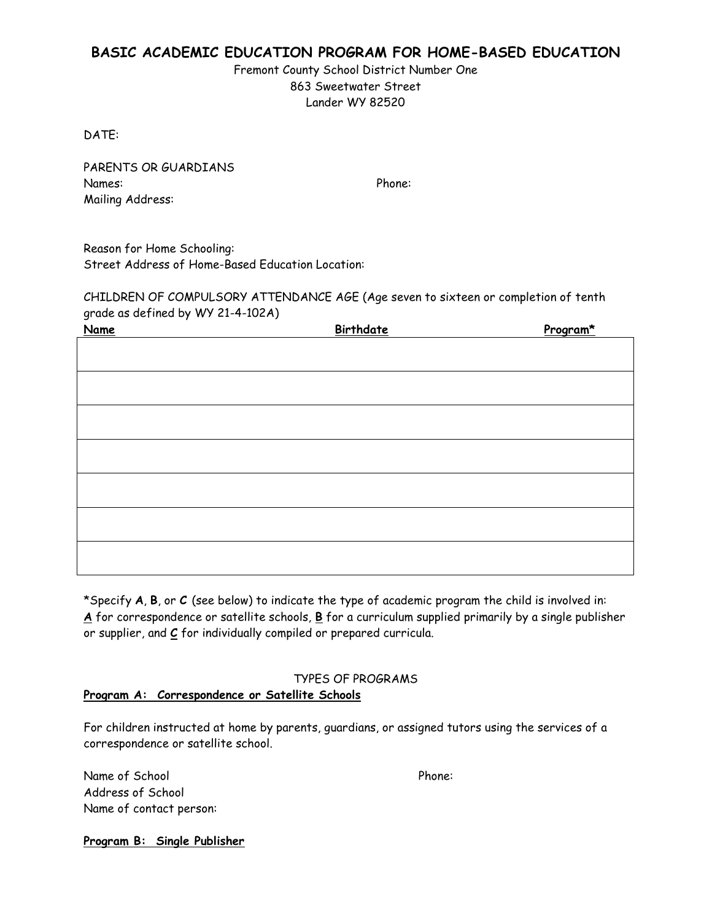# **BASIC ACADEMIC EDUCATION PROGRAM FOR HOME-BASED EDUCATION**

Fremont County School District Number One 863 Sweetwater Street Lander WY 82520

DATE:

PARENTS OR GUARDIANS Names: Phone: Mailing Address:

Reason for Home Schooling: Street Address of Home-Based Education Location:

CHILDREN OF COMPULSORY ATTENDANCE AGE (Age seven to sixteen or completion of tenth grade as defined by WY 21-4-102A)

| <b>Name</b> | Birthdate | Program* |
|-------------|-----------|----------|
|             |           |          |
|             |           |          |
|             |           |          |
|             |           |          |
|             |           |          |
|             |           |          |
|             |           |          |
|             |           |          |
|             |           |          |
|             |           |          |
|             |           |          |
|             |           |          |
|             |           |          |
|             |           |          |
|             |           |          |
|             |           |          |

\*Specify **A**, **B**, or **C** (see below) to indicate the type of academic program the child is involved in: **A** for correspondence or satellite schools, **B** for a curriculum supplied primarily by a single publisher or supplier, and **C** for individually compiled or prepared curricula.

#### TYPES OF PROGRAMS

#### **Program A: Correspondence or Satellite Schools**

For children instructed at home by parents, guardians, or assigned tutors using the services of a correspondence or satellite school.

Name of School Phone: Address of School Name of contact person:

**Program B: Single Publisher**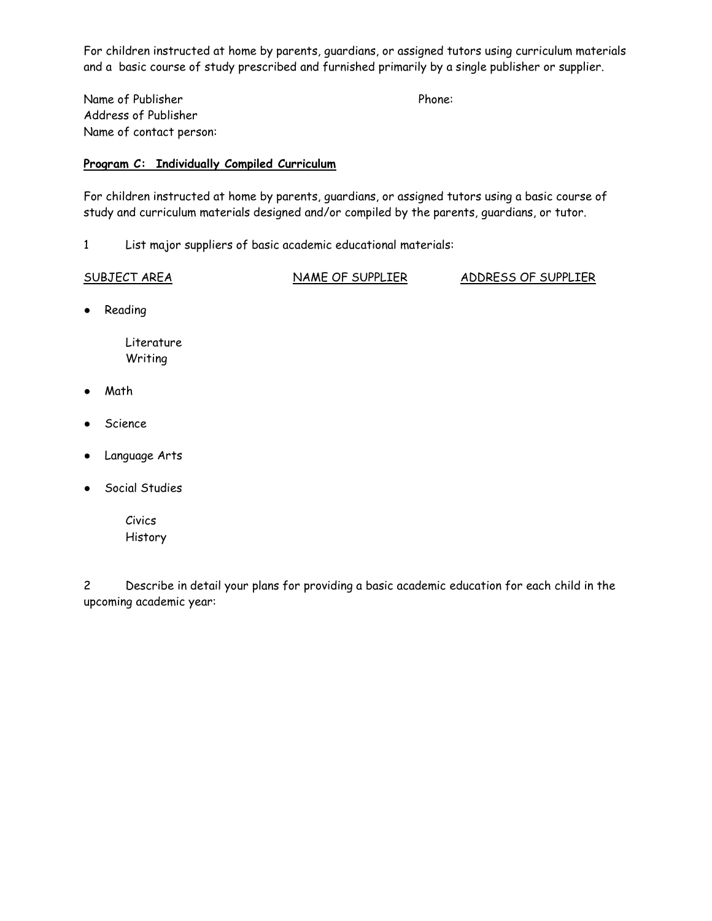For children instructed at home by parents, guardians, or assigned tutors using curriculum materials and a basic course of study prescribed and furnished primarily by a single publisher or supplier.

Name of Publisher Phone: Address of Publisher Name of contact person:

#### **Program C: Individually Compiled Curriculum**

For children instructed at home by parents, guardians, or assigned tutors using a basic course of study and curriculum materials designed and/or compiled by the parents, guardians, or tutor.

1 List major suppliers of basic academic educational materials:

SUBJECT AREA NAME OF SUPPLIER ADDRESS OF SUPPLIER

● Reading

 Literature Writing

- Math
- Science
- Language Arts
- Social Studies
	- Civics History

2 Describe in detail your plans for providing a basic academic education for each child in the upcoming academic year: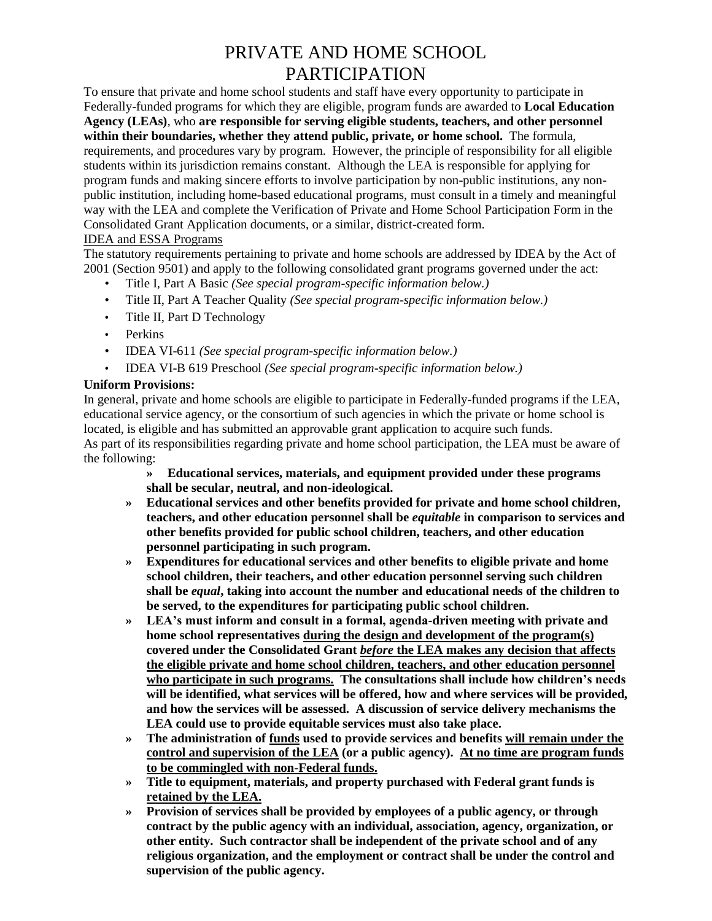# PRIVATE AND HOME SCHOOL PARTICIPATION

To ensure that private and home school students and staff have every opportunity to participate in Federally-funded programs for which they are eligible, program funds are awarded to **Local Education Agency (LEAs)**, who **are responsible for serving eligible students, teachers, and other personnel within their boundaries, whether they attend public, private, or home school.** The formula, requirements, and procedures vary by program. However, the principle of responsibility for all eligible students within its jurisdiction remains constant. Although the LEA is responsible for applying for program funds and making sincere efforts to involve participation by non-public institutions, any nonpublic institution, including home-based educational programs, must consult in a timely and meaningful way with the LEA and complete the Verification of Private and Home School Participation Form in the Consolidated Grant Application documents, or a similar, district-created form.

#### IDEA and ESSA Programs

The statutory requirements pertaining to private and home schools are addressed by IDEA by the Act of 2001 (Section 9501) and apply to the following consolidated grant programs governed under the act:

- Title I, Part A Basic *(See special program-specific information below.)*
- Title II, Part A Teacher Quality *(See special program-specific information below.)*
- Title II, Part D Technology
- Perkins
- IDEA VI-611 *(See special program-specific information below.)*
- IDEA VI-B 619 Preschool *(See special program-specific information below.)*

#### **Uniform Provisions:**

In general, private and home schools are eligible to participate in Federally-funded programs if the LEA, educational service agency, or the consortium of such agencies in which the private or home school is located, is eligible and has submitted an approvable grant application to acquire such funds. As part of its responsibilities regarding private and home school participation, the LEA must be aware of the following:

- **» Educational services, materials, and equipment provided under these programs shall be secular, neutral, and non-ideological.**
- **» Educational services and other benefits provided for private and home school children, teachers, and other education personnel shall be** *equitable* **in comparison to services and other benefits provided for public school children, teachers, and other education personnel participating in such program.**
- **» Expenditures for educational services and other benefits to eligible private and home school children, their teachers, and other education personnel serving such children shall be** *equal***, taking into account the number and educational needs of the children to be served, to the expenditures for participating public school children.**
- **» LEA's must inform and consult in a formal, agenda-driven meeting with private and home school representatives during the design and development of the program(s) covered under the Consolidated Grant** *before* **the LEA makes any decision that affects the eligible private and home school children, teachers, and other education personnel who participate in such programs. The consultations shall include how children's needs will be identified, what services will be offered, how and where services will be provided, and how the services will be assessed. A discussion of service delivery mechanisms the LEA could use to provide equitable services must also take place.**
- **» The administration of funds used to provide services and benefits will remain under the control and supervision of the LEA (or a public agency). At no time are program funds to be commingled with non-Federal funds.**
- **» Title to equipment, materials, and property purchased with Federal grant funds is retained by the LEA.**
- **» Provision of services shall be provided by employees of a public agency, or through contract by the public agency with an individual, association, agency, organization, or other entity. Such contractor shall be independent of the private school and of any religious organization, and the employment or contract shall be under the control and supervision of the public agency.**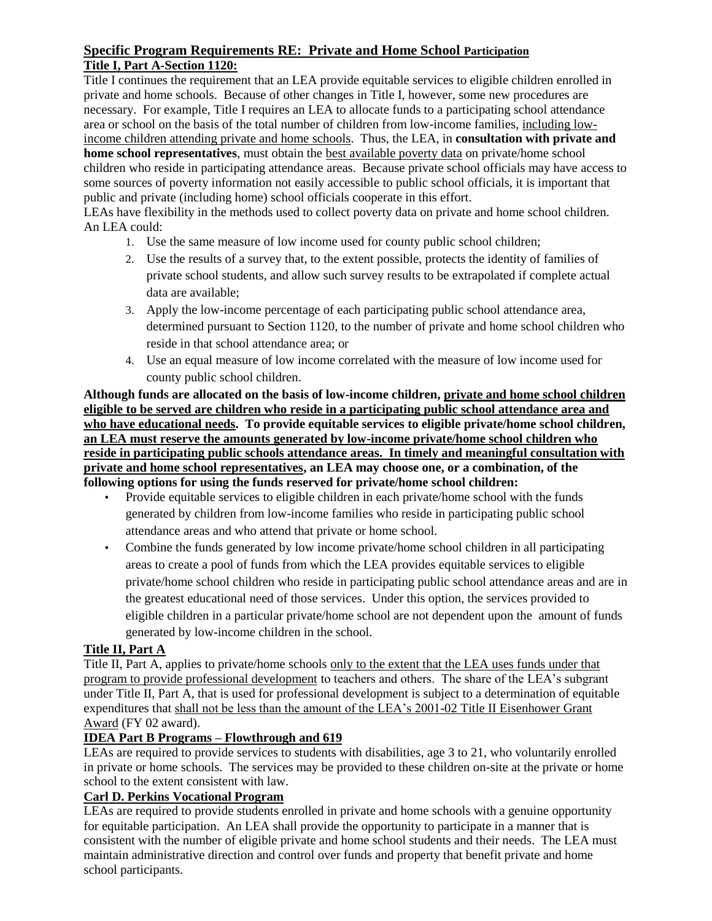### **Specific Program Requirements RE: Private and Home School Participation Title I, Part A-Section 1120:**

Title I continues the requirement that an LEA provide equitable services to eligible children enrolled in private and home schools. Because of other changes in Title I, however, some new procedures are necessary. For example, Title I requires an LEA to allocate funds to a participating school attendance area or school on the basis of the total number of children from low-income families, including lowincome children attending private and home schools. Thus, the LEA, in **consultation with private and home school representatives**, must obtain the best available poverty data on private/home school children who reside in participating attendance areas. Because private school officials may have access to some sources of poverty information not easily accessible to public school officials, it is important that public and private (including home) school officials cooperate in this effort.

LEAs have flexibility in the methods used to collect poverty data on private and home school children. An LEA could:

- 1. Use the same measure of low income used for county public school children;
- 2. Use the results of a survey that, to the extent possible, protects the identity of families of private school students, and allow such survey results to be extrapolated if complete actual data are available;
- 3. Apply the low-income percentage of each participating public school attendance area, determined pursuant to Section 1120, to the number of private and home school children who reside in that school attendance area; or
- 4. Use an equal measure of low income correlated with the measure of low income used for county public school children.

**Although funds are allocated on the basis of low-income children, private and home school children eligible to be served are children who reside in a participating public school attendance area and**  who have educational needs. To provide equitable services to eligible private/home school children, **an LEA must reserve the amounts generated by low-income private/home school children who reside in participating public schools attendance areas. In timely and meaningful consultation with private and home school representatives, an LEA may choose one, or a combination, of the following options for using the funds reserved for private/home school children:**

- Provide equitable services to eligible children in each private/home school with the funds generated by children from low-income families who reside in participating public school attendance areas and who attend that private or home school.
- Combine the funds generated by low income private/home school children in all participating areas to create a pool of funds from which the LEA provides equitable services to eligible private/home school children who reside in participating public school attendance areas and are in the greatest educational need of those services. Under this option, the services provided to eligible children in a particular private/home school are not dependent upon the amount of funds generated by low-income children in the school.

# **Title II, Part A**

Title II, Part A, applies to private/home schools only to the extent that the LEA uses funds under that program to provide professional development to teachers and others. The share of the LEA's subgrant under Title II, Part A, that is used for professional development is subject to a determination of equitable expenditures that shall not be less than the amount of the LEA's 2001-02 Title II Eisenhower Grant Award (FY 02 award).

# **IDEA Part B Programs – Flowthrough and 619**

LEAs are required to provide services to students with disabilities, age 3 to 21, who voluntarily enrolled in private or home schools. The services may be provided to these children on-site at the private or home school to the extent consistent with law.

# **Carl D. Perkins Vocational Program**

LEAs are required to provide students enrolled in private and home schools with a genuine opportunity for equitable participation. An LEA shall provide the opportunity to participate in a manner that is consistent with the number of eligible private and home school students and their needs. The LEA must maintain administrative direction and control over funds and property that benefit private and home school participants.